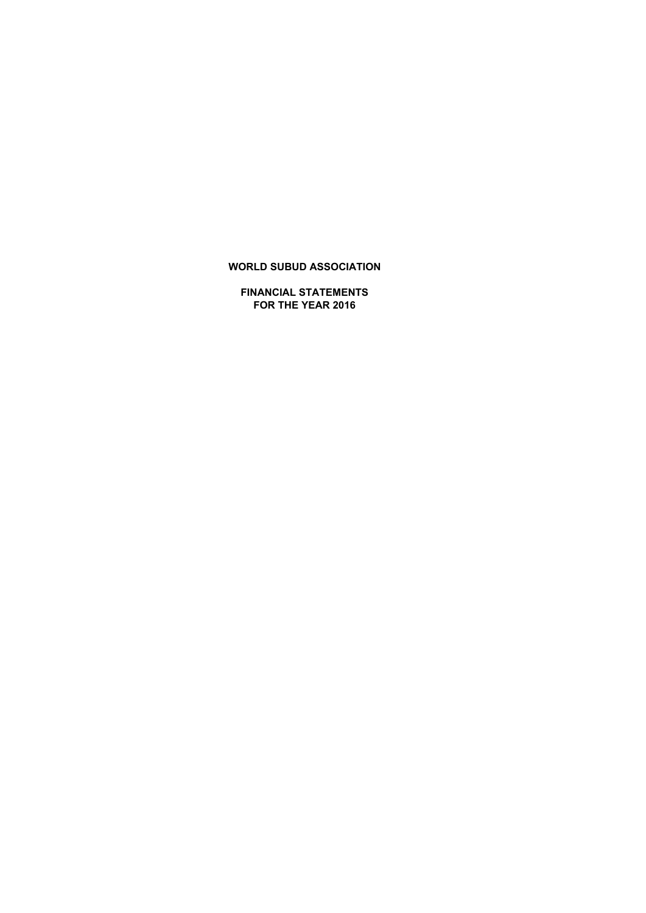**FINANCIAL STATEMENTS FOR THE YEAR 2016**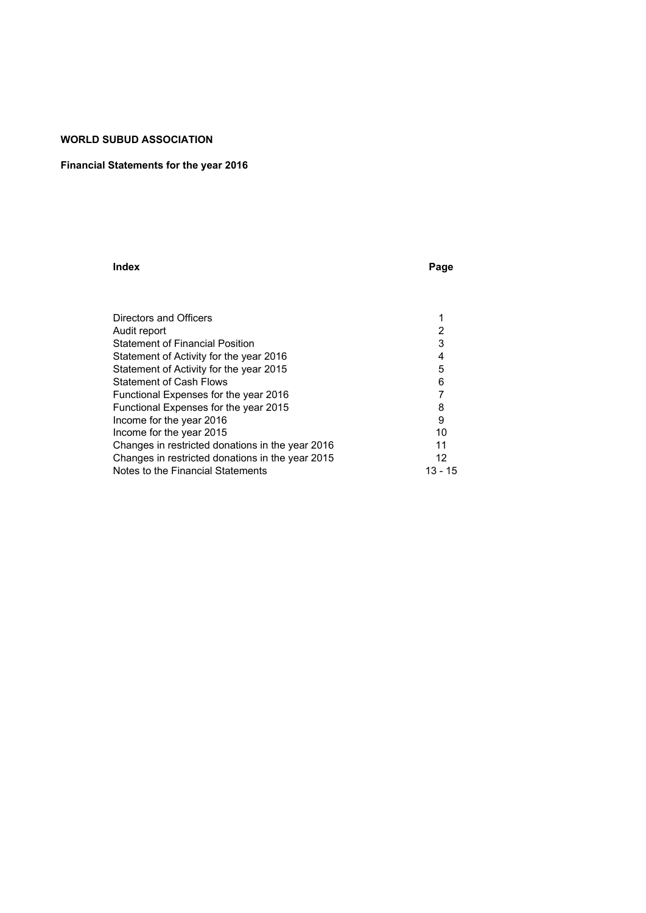### **Financial Statements for the year 2016**

#### **Index Page**

| Directors and Officers                           |         |
|--------------------------------------------------|---------|
| Audit report                                     |         |
| <b>Statement of Financial Position</b>           | 3       |
| Statement of Activity for the year 2016          | 4       |
| Statement of Activity for the year 2015          | 5       |
| <b>Statement of Cash Flows</b>                   | 6       |
| Functional Expenses for the year 2016            |         |
| Functional Expenses for the year 2015            | 8       |
| Income for the year 2016                         | 9       |
| Income for the year 2015                         | 10      |
| Changes in restricted donations in the year 2016 | 11      |
| Changes in restricted donations in the year 2015 | 12      |
| Notes to the Financial Statements                | 13 - 15 |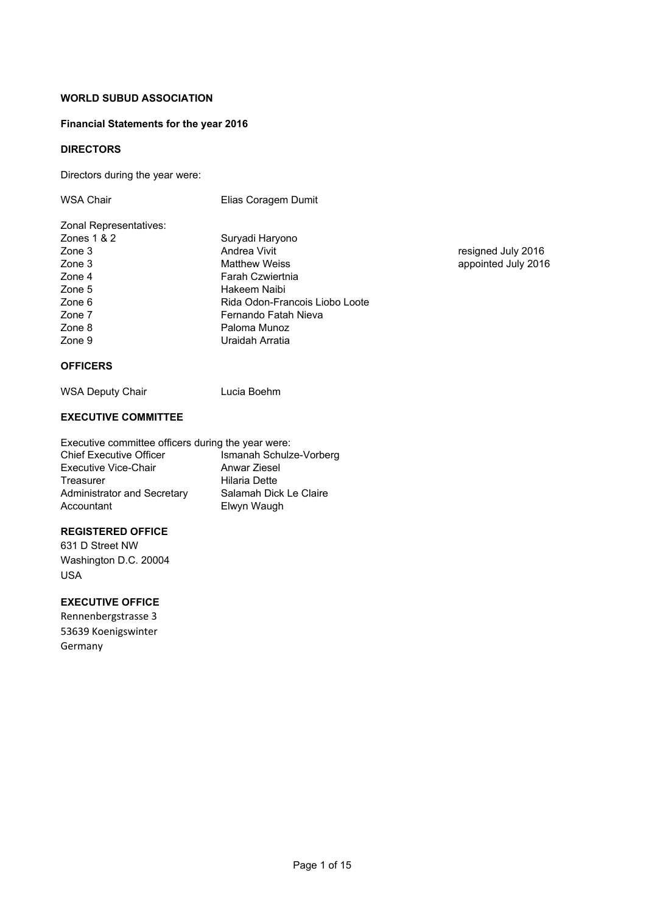### **Financial Statements for the year 2016**

### **DIRECTORS**

Directors during the year were:

| WSA Chair              | Elias Coragem Dumit            |
|------------------------|--------------------------------|
| Zonal Representatives: |                                |
| Zones $1 & 2$          | Suryadi Haryono                |
| Zone 3                 | Andrea Vivit                   |
| Zone 3                 | <b>Matthew Weiss</b>           |
| Zone 4                 | Farah Czwiertnia               |
| Zone 5                 | Hakeem Naibi                   |
| Zone 6                 | Rida Odon-Francois Liobo Loote |
| Zone 7                 | Fernando Fatah Nieva           |
| Zone 8                 | Paloma Munoz                   |
| Zone 9                 | Uraidah Arratia                |

### **OFFICERS**

WSA Deputy Chair **Lucia Boehm** 

### **EXECUTIVE COMMITTEE**

| Executive committee officers during the year were: |                         |  |  |  |  |  |  |  |  |  |  |  |
|----------------------------------------------------|-------------------------|--|--|--|--|--|--|--|--|--|--|--|
| <b>Chief Executive Officer</b>                     | Ismanah Schulze-Vorberg |  |  |  |  |  |  |  |  |  |  |  |
| <b>Executive Vice-Chair</b>                        | Anwar Ziesel            |  |  |  |  |  |  |  |  |  |  |  |
| Treasurer                                          | <b>Hilaria Dette</b>    |  |  |  |  |  |  |  |  |  |  |  |
| Administrator and Secretary                        | Salamah Dick Le Claire  |  |  |  |  |  |  |  |  |  |  |  |
| Accountant                                         | Elwyn Waugh             |  |  |  |  |  |  |  |  |  |  |  |

### **REGISTERED OFFICE**

631 D Street NW Washington D.C. 20004 USA

### **EXECUTIVE OFFICE**

Rennenbergstrasse 3 53639 Koenigswinter Germany

resigned July 2016 appointed July 2016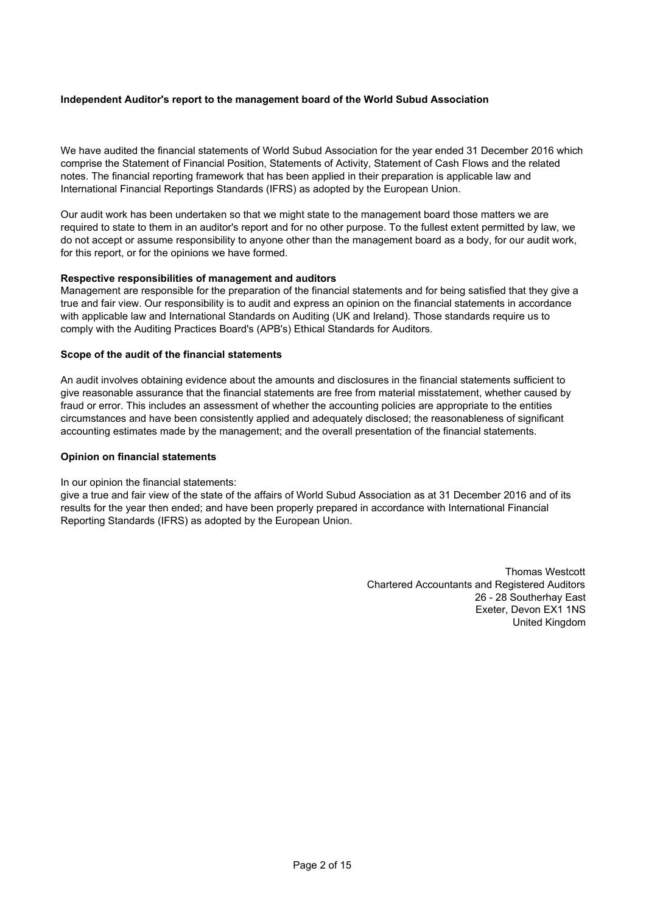### **Independent Auditor's report to the management board of the World Subud Association**

We have audited the financial statements of World Subud Association for the year ended 31 December 2016 which comprise the Statement of Financial Position, Statements of Activity, Statement of Cash Flows and the related notes. The financial reporting framework that has been applied in their preparation is applicable law and International Financial Reportings Standards (IFRS) as adopted by the European Union.

Our audit work has been undertaken so that we might state to the management board those matters we are required to state to them in an auditor's report and for no other purpose. To the fullest extent permitted by law, we do not accept or assume responsibility to anyone other than the management board as a body, for our audit work, for this report, or for the opinions we have formed.

### **Respective responsibilities of management and auditors**

Management are responsible for the preparation of the financial statements and for being satisfied that they give a true and fair view. Our responsibility is to audit and express an opinion on the financial statements in accordance with applicable law and International Standards on Auditing (UK and Ireland). Those standards require us to comply with the Auditing Practices Board's (APB's) Ethical Standards for Auditors.

### **Scope of the audit of the financial statements**

An audit involves obtaining evidence about the amounts and disclosures in the financial statements sufficient to give reasonable assurance that the financial statements are free from material misstatement, whether caused by fraud or error. This includes an assessment of whether the accounting policies are appropriate to the entities circumstances and have been consistently applied and adequately disclosed; the reasonableness of significant accounting estimates made by the management; and the overall presentation of the financial statements.

#### **Opinion on financial statements**

### In our opinion the financial statements:

give a true and fair view of the state of the affairs of World Subud Association as at 31 December 2016 and of its results for the year then ended; and have been properly prepared in accordance with International Financial Reporting Standards (IFRS) as adopted by the European Union.

> Thomas Westcott Chartered Accountants and Registered Auditors 26 - 28 Southerhay East Exeter, Devon EX1 1NS United Kingdom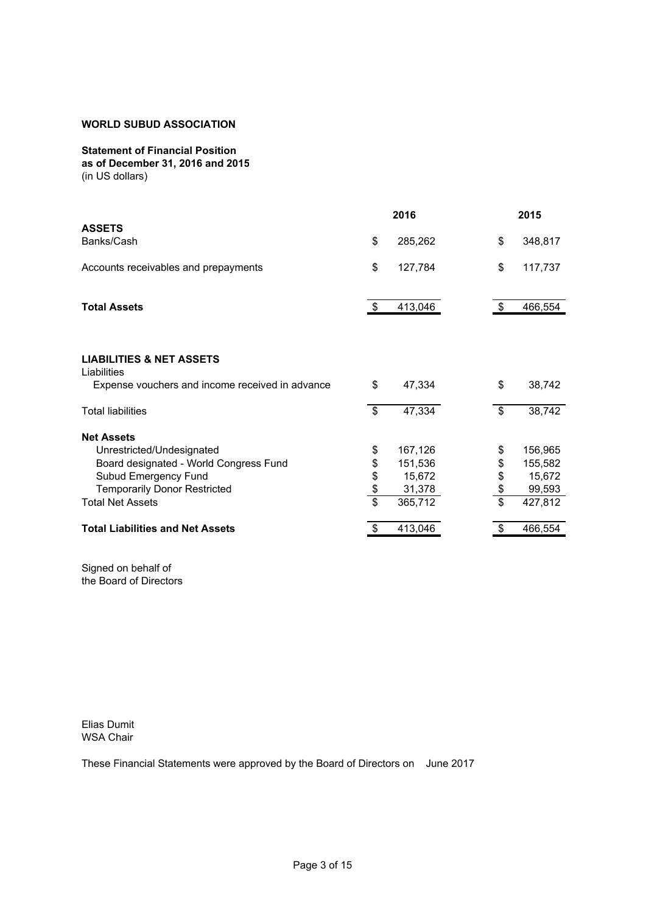### **Statement of Financial Position**

**as of December 31, 2016 and 2015** (in US dollars)

|                                                 |                         | 2016    |                         | 2015    |
|-------------------------------------------------|-------------------------|---------|-------------------------|---------|
| <b>ASSETS</b><br>Banks/Cash                     | \$                      | 285,262 | \$                      | 348,817 |
| Accounts receivables and prepayments            | \$                      | 127,784 | \$                      | 117,737 |
| <b>Total Assets</b>                             | $\mathfrak{F}$          | 413,046 | $\$\$                   | 466,554 |
| <b>LIABILITIES &amp; NET ASSETS</b>             |                         |         |                         |         |
| Liabilities                                     |                         |         |                         |         |
| Expense vouchers and income received in advance | \$                      | 47,334  | \$                      | 38,742  |
| <b>Total liabilities</b>                        | \$                      | 47,334  | $\$\$                   | 38,742  |
| <b>Net Assets</b>                               |                         |         |                         |         |
| Unrestricted/Undesignated                       | \$                      | 167,126 | \$                      | 156,965 |
| Board designated - World Congress Fund          | \$                      | 151,536 | \$                      | 155,582 |
| Subud Emergency Fund                            | \$                      | 15,672  |                         | 15,672  |
| <b>Temporarily Donor Restricted</b>             | \$                      | 31,378  | \$<br>\$                | 99,593  |
| <b>Total Net Assets</b>                         | $\overline{\mathbf{S}}$ | 365,712 | $\overline{\mathbb{S}}$ | 427,812 |
| <b>Total Liabilities and Net Assets</b>         | \$                      | 413,046 | \$                      | 466,554 |

Signed on behalf of the Board of Directors

Elias Dumit WSA Chair

These Financial Statements were approved by the Board of Directors on June 2017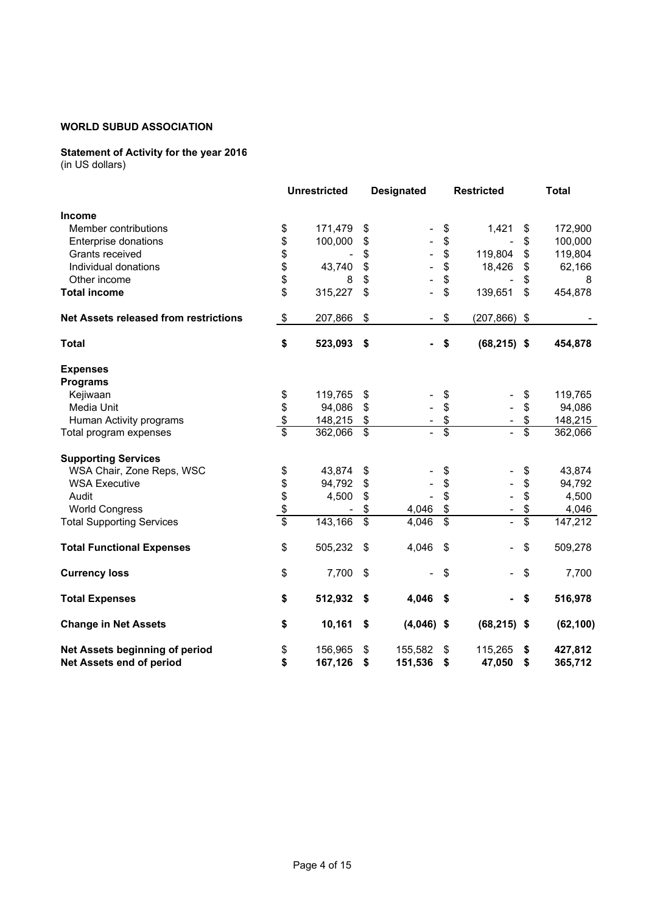### **Statement of Activity for the year 2016**

|                                              |                         | <b>Unrestricted</b> |                          | <b>Designated</b> |                           | <b>Restricted</b>        |                 | <b>Total</b> |
|----------------------------------------------|-------------------------|---------------------|--------------------------|-------------------|---------------------------|--------------------------|-----------------|--------------|
| <b>Income</b>                                |                         |                     |                          |                   |                           |                          |                 |              |
| Member contributions                         | \$                      | 171,479             | \$                       |                   | \$                        | 1,421                    | \$              | 172,900      |
| Enterprise donations                         | \$                      | 100,000             | \$                       |                   | \$                        |                          | \$              | 100,000      |
| Grants received                              | \$                      |                     | \$                       |                   | \$                        | 119,804                  | \$              | 119,804      |
| Individual donations                         | \$                      | 43,740              | \$                       |                   | \$                        | 18,426                   | \$              | 62,166       |
| Other income                                 | \$                      | 8                   | \$                       |                   | \$                        |                          | \$              | 8            |
| <b>Total income</b>                          | \$                      | 315,227             | \$                       |                   | \$                        | 139,651                  | \$              | 454,878      |
| <b>Net Assets released from restrictions</b> | \$                      | 207,866             | \$                       |                   | \$                        | (207, 866)               | \$              |              |
| <b>Total</b>                                 | \$                      | 523,093             | \$                       |                   | \$                        | $(68, 215)$ \$           |                 | 454,878      |
| <b>Expenses</b><br><b>Programs</b>           |                         |                     |                          |                   |                           |                          |                 |              |
| Kejiwaan                                     | \$                      | 119,765             | \$                       |                   | \$                        |                          | \$              | 119,765      |
| Media Unit                                   | \$                      | 94,086              | \$                       |                   | \$                        |                          | \$              | 94,086       |
| Human Activity programs                      | $\frac{1}{2}$           | 148,215             | \$                       |                   | \$                        | $\overline{\phantom{a}}$ | \$              | 148,215      |
| Total program expenses                       | $\overline{\mathbf{s}}$ | 362,066             | \$                       |                   | \$                        | $\overline{\phantom{a}}$ | \$              | 362,066      |
| <b>Supporting Services</b>                   |                         |                     |                          |                   |                           |                          |                 |              |
| WSA Chair, Zone Reps, WSC                    | \$                      | 43,874              | \$                       |                   | \$                        |                          | \$              | 43,874       |
| <b>WSA Executive</b>                         | \$                      | 94,792              | \$                       |                   | \$                        |                          | \$              | 94,792       |
| Audit                                        | \$                      | 4,500               | \$                       |                   | \$                        |                          | \$              | 4,500        |
| <b>World Congress</b>                        | $\frac{1}{2}$           |                     | \$                       | 4,046             | \$                        |                          | \$              | 4,046        |
| <b>Total Supporting Services</b>             | $\overline{\$}$         | 143,166             | $\overline{\mathcal{S}}$ | 4,046             | $\overline{\$}$           |                          | $\overline{\$}$ | 147,212      |
| <b>Total Functional Expenses</b>             | \$                      | 505,232             | \$                       | 4,046             | $\boldsymbol{\mathsf{S}}$ |                          | \$              | 509,278      |
| <b>Currency loss</b>                         | \$                      | 7,700               | \$                       |                   | \$                        |                          | \$              | 7,700        |
| <b>Total Expenses</b>                        | \$                      | 512,932             | \$                       | 4,046             | \$                        |                          | \$              | 516,978      |
| <b>Change in Net Assets</b>                  | \$                      | 10,161              | \$                       | $(4,046)$ \$      |                           | $(68, 215)$ \$           |                 | (62, 100)    |
| Net Assets beginning of period               | \$                      | 156,965             | \$                       | 155,582           | \$                        | 115,265                  | \$              | 427,812      |
| Net Assets end of period                     | \$                      | 167,126             | \$                       | 151,536           | \$                        | 47,050                   | \$              | 365,712      |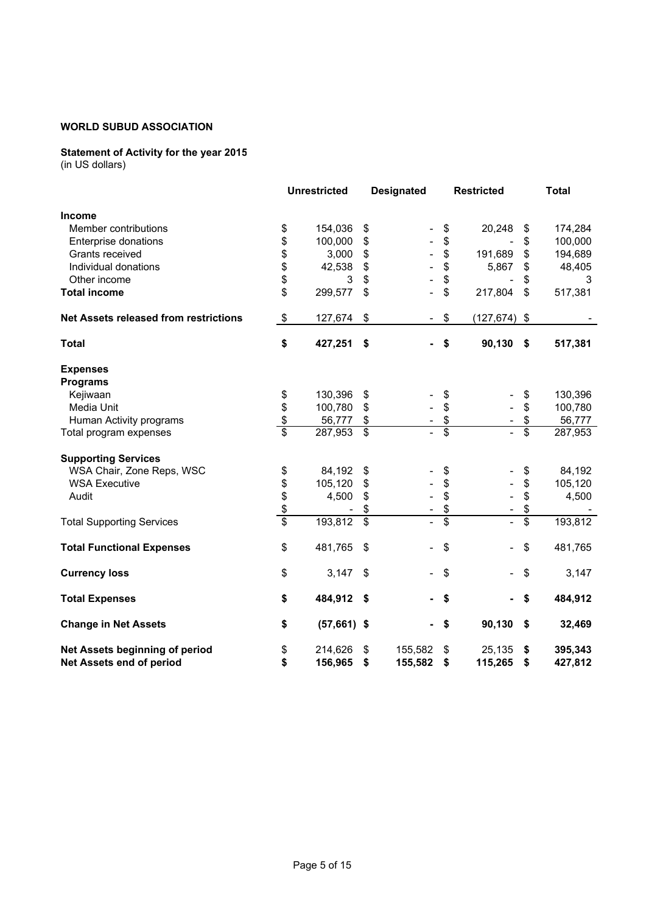### **Statement of Activity for the year 2015**

|                                              |                         | <b>Unrestricted</b> |                           | <b>Designated</b> |                 | <b>Restricted</b>        |                           | <b>Total</b> |
|----------------------------------------------|-------------------------|---------------------|---------------------------|-------------------|-----------------|--------------------------|---------------------------|--------------|
| <b>Income</b>                                |                         |                     |                           |                   |                 |                          |                           |              |
| Member contributions                         | \$                      | 154,036             | \$                        |                   | \$              | 20,248                   | \$                        | 174,284      |
| Enterprise donations                         | \$                      | 100,000             | \$                        |                   | \$              | $\overline{\phantom{m}}$ | \$                        | 100,000      |
| Grants received                              | \$                      | 3,000               | \$                        |                   | \$              | 191,689                  | \$                        | 194,689      |
| Individual donations                         | \$                      | 42,538              | $\boldsymbol{\mathsf{S}}$ |                   | \$              | 5,867                    | \$                        | 48,405       |
| Other income                                 | \$                      | 3                   | \$                        |                   | \$              |                          | \$                        | 3            |
| <b>Total income</b>                          | \$                      | 299,577             | \$                        |                   | \$              | 217,804                  | \$                        | 517,381      |
| <b>Net Assets released from restrictions</b> | \$                      | 127,674             | \$                        |                   | \$              | $(127, 674)$ \$          |                           |              |
| <b>Total</b>                                 | \$                      | 427,251             | \$                        |                   | \$              | 90,130                   | \$                        | 517,381      |
| <b>Expenses</b><br><b>Programs</b>           |                         |                     |                           |                   |                 |                          |                           |              |
| Kejiwaan                                     | \$                      | 130,396             | \$                        |                   | \$              |                          | \$                        | 130,396      |
| Media Unit                                   | \$                      | 100,780             | \$                        |                   | \$              |                          | \$                        | 100,780      |
| Human Activity programs                      | $\frac{1}{2}$           | 56,777              | \$                        |                   | \$              | $\overline{\phantom{a}}$ | \$                        | 56,777       |
| Total program expenses                       | $\overline{\mathbf{s}}$ | 287,953 \$          |                           |                   | \$              | $\overline{a}$           | \$                        | 287,953      |
| <b>Supporting Services</b>                   |                         |                     |                           |                   |                 |                          |                           |              |
| WSA Chair, Zone Reps, WSC                    | \$                      | 84,192              | \$                        |                   | \$              |                          | \$                        | 84,192       |
| <b>WSA Executive</b>                         | \$                      | 105,120             | \$                        |                   | \$              |                          | \$                        | 105,120      |
| Audit                                        | \$                      | 4,500               | \$                        |                   | \$              |                          | \$                        | 4,500        |
|                                              | $\frac{1}{2}$           |                     |                           |                   | \$              |                          | \$                        |              |
| <b>Total Supporting Services</b>             | $\overline{\$}$         | 193,812             | $\overline{\mathcal{S}}$  |                   | $\overline{\$}$ |                          | $\overline{\mathfrak{s}}$ | 193,812      |
| <b>Total Functional Expenses</b>             | \$                      | 481,765             | \$                        |                   | \$              |                          | \$                        | 481,765      |
| <b>Currency loss</b>                         | \$                      | 3,147               | \$                        |                   | \$              |                          | \$                        | 3,147        |
| <b>Total Expenses</b>                        | \$                      | 484,912             | - \$                      |                   | \$              |                          | \$                        | 484,912      |
| <b>Change in Net Assets</b>                  | \$                      | $(57,661)$ \$       |                           |                   | \$              | 90,130                   | \$                        | 32,469       |
| Net Assets beginning of period               | \$                      | 214,626             | \$                        | 155,582           | \$              | 25,135                   | \$                        | 395,343      |
| Net Assets end of period                     | \$                      | 156,965             | \$                        | 155,582           | \$              | 115,265                  | \$                        | 427,812      |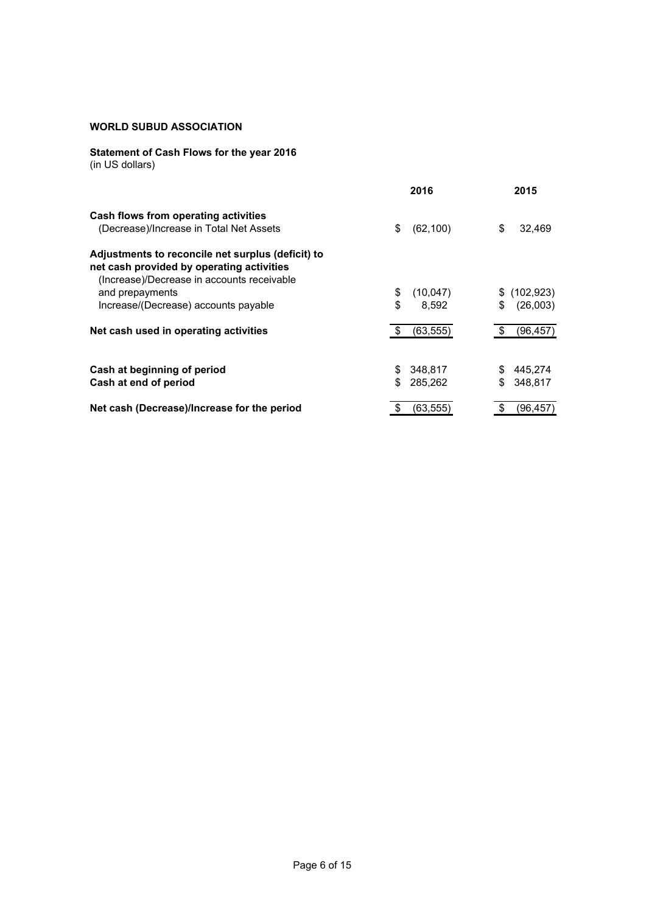# **Statement of Cash Flows for the year 2016**

|  |  |  | (in US dollars) |
|--|--|--|-----------------|
|--|--|--|-----------------|

|                                                                                                                                              | 2016             | 2015             |
|----------------------------------------------------------------------------------------------------------------------------------------------|------------------|------------------|
| Cash flows from operating activities                                                                                                         |                  |                  |
| (Decrease)/Increase in Total Net Assets                                                                                                      | \$<br>(62, 100)  | \$<br>32,469     |
| Adjustments to reconcile net surplus (deficit) to<br>net cash provided by operating activities<br>(Increase)/Decrease in accounts receivable |                  |                  |
| and prepayments                                                                                                                              | \$<br>(10, 047)  | (102, 923)<br>\$ |
| Increase/(Decrease) accounts payable                                                                                                         | \$<br>8,592      | \$<br>(26,003)   |
| Net cash used in operating activities                                                                                                        | -\$<br>(63, 555) | (96, 457)<br>S   |
| Cash at beginning of period                                                                                                                  | 348,817<br>\$    | 445,274<br>S     |
| Cash at end of period                                                                                                                        | \$<br>285,262    | 348,817<br>S     |
| Net cash (Decrease)/Increase for the period                                                                                                  | (63,555)         | S<br>(96,457`    |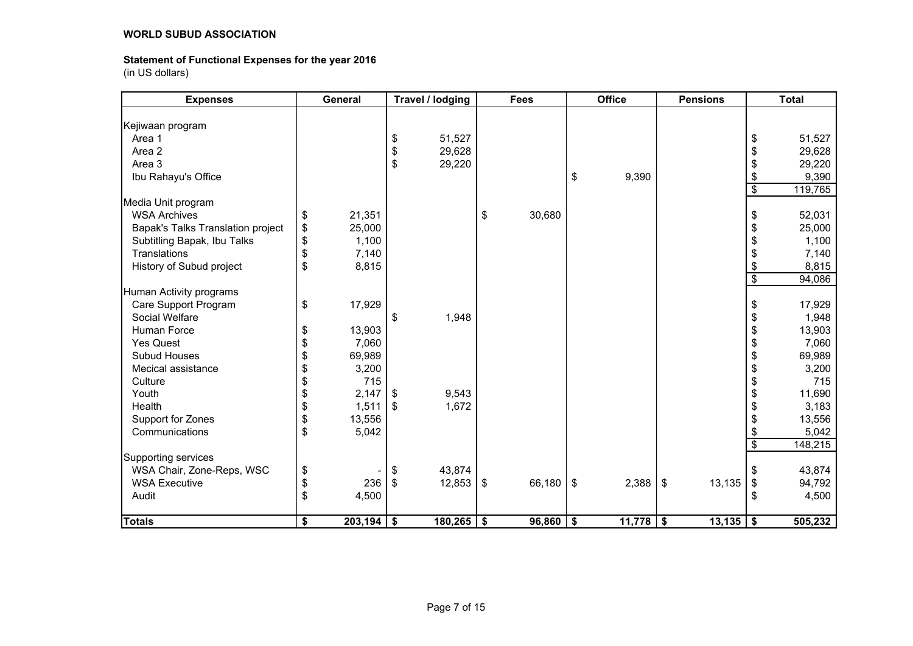### **Statement of Functional Expenses for the year 2016**

| <b>Expenses</b>                   | <b>General</b>     |            | Travel / lodging |               | <b>Fees</b> |    | <b>Office</b> |            | <b>Pensions</b> |                          | <b>Total</b> |
|-----------------------------------|--------------------|------------|------------------|---------------|-------------|----|---------------|------------|-----------------|--------------------------|--------------|
|                                   |                    |            |                  |               |             |    |               |            |                 |                          |              |
| Kejiwaan program                  |                    |            |                  |               |             |    |               |            |                 |                          |              |
| Area 1                            |                    | \$         | 51,527           |               |             |    |               |            |                 | \$                       | 51,527       |
| Area 2                            |                    | \$         | 29,628           |               |             |    |               |            |                 | \$                       | 29,628       |
| Area 3                            |                    | \$         | 29,220           |               |             |    |               |            |                 | \$                       | 29,220       |
| Ibu Rahayu's Office               |                    |            |                  |               |             | \$ | 9,390         |            |                 | \$                       | 9,390        |
|                                   |                    |            |                  |               |             |    |               |            |                 | $\overline{\mathbf{s}}$  | 119,765      |
| Media Unit program                |                    |            |                  |               |             |    |               |            |                 |                          |              |
| <b>WSA Archives</b>               | \$<br>21,351       |            |                  | \$            | 30,680      |    |               |            |                 | \$                       | 52,031       |
| Bapak's Talks Translation project | \$<br>25,000       |            |                  |               |             |    |               |            |                 | \$                       | 25,000       |
| Subtitling Bapak, Ibu Talks       | \$<br>1,100        |            |                  |               |             |    |               |            |                 | \$                       | 1,100        |
| Translations                      | \$<br>7,140        |            |                  |               |             |    |               |            |                 | \$                       | 7,140        |
| History of Subud project          | \$<br>8,815        |            |                  |               |             |    |               |            |                 | \$                       | 8,815        |
|                                   |                    |            |                  |               |             |    |               |            |                 | $\overline{\$}$          | 94,086       |
| Human Activity programs           |                    |            |                  |               |             |    |               |            |                 |                          |              |
| Care Support Program              | \$<br>17,929       |            |                  |               |             |    |               |            |                 | \$                       | 17,929       |
| Social Welfare                    |                    | \$         | 1,948            |               |             |    |               |            |                 | \$                       | 1,948        |
| Human Force                       | \$<br>13,903       |            |                  |               |             |    |               |            |                 | \$                       | 13,903       |
| <b>Yes Quest</b>                  | \$<br>7,060        |            |                  |               |             |    |               |            |                 | \$                       | 7,060        |
| Subud Houses                      | \$<br>69,989       |            |                  |               |             |    |               |            |                 | \$                       | 69,989       |
| Mecical assistance                | \$<br>3,200        |            |                  |               |             |    |               |            |                 | \$                       | 3,200        |
| Culture                           | \$<br>715          |            |                  |               |             |    |               |            |                 | \$                       | 715          |
| Youth                             | \$<br>2,147        | l \$       | 9,543            |               |             |    |               |            |                 | \$                       | 11,690       |
| Health                            | \$<br>1,511        | $\sqrt{3}$ | 1,672            |               |             |    |               |            |                 | \$                       | 3,183        |
| Support for Zones                 | \$<br>13,556       |            |                  |               |             |    |               |            |                 | \$                       | 13,556       |
| Communications                    | \$<br>5,042        |            |                  |               |             |    |               |            |                 | \$                       | 5,042        |
|                                   |                    |            |                  |               |             |    |               |            |                 | $\overline{\mathcal{S}}$ | 148,215      |
| Supporting services               |                    |            |                  |               |             |    |               |            |                 |                          |              |
| WSA Chair, Zone-Reps, WSC         | \$                 | \$         | 43,874           |               |             |    |               |            |                 | \$                       | 43,874       |
| <b>WSA Executive</b>              | \$<br>236          | $\sqrt{3}$ | 12,853           | \$            | 66,180      | \$ | 2,388         | $\sqrt{3}$ | 13,135          | $\,$                     | 94,792       |
| Audit                             | \$<br>4,500        |            |                  |               |             |    |               |            |                 | \$                       | 4,500        |
|                                   |                    |            |                  |               |             |    |               |            |                 |                          |              |
| <b>Totals</b>                     | \$<br>$203,194$ \$ |            | 180,265          | $\sqrt[6]{3}$ | 96,860      | \$ | $11,778$ \$   |            | 13,135          | \$                       | 505,232      |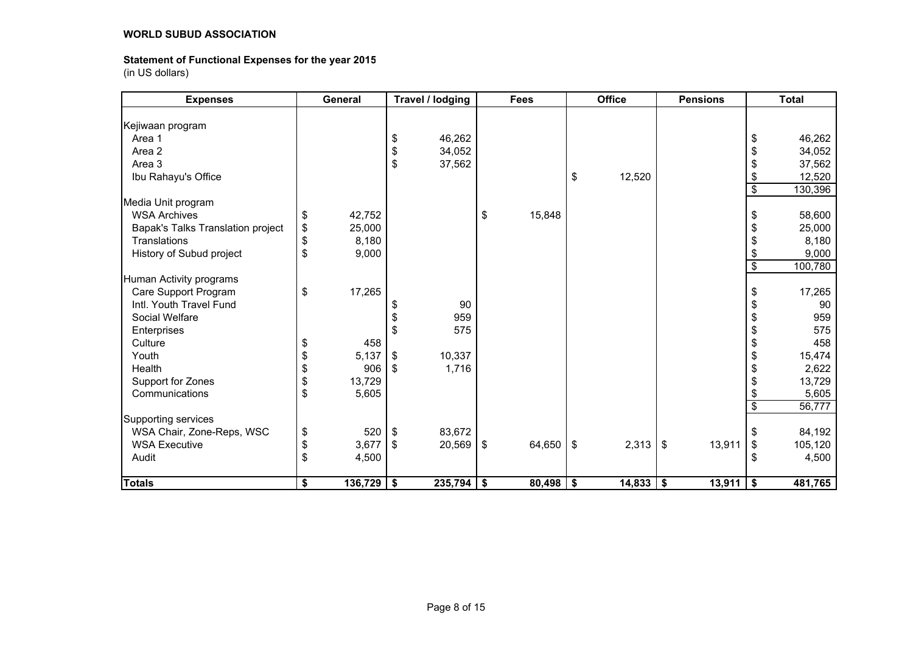### **Statement of Functional Expenses for the year 2015**

| <b>Expenses</b>                   | General            |            | Travel / lodging | <b>Fees</b>  |                           | <b>Office</b> |            | <b>Pensions</b> |                          | <b>Total</b> |
|-----------------------------------|--------------------|------------|------------------|--------------|---------------------------|---------------|------------|-----------------|--------------------------|--------------|
|                                   |                    |            |                  |              |                           |               |            |                 |                          |              |
| Kejiwaan program                  |                    |            |                  |              |                           |               |            |                 |                          |              |
| Area 1                            |                    | \$         | 46,262           |              |                           |               |            |                 | \$                       | 46,262       |
| Area 2                            |                    | \$         | 34,052           |              |                           |               |            |                 | \$                       | 34,052       |
| Area 3                            |                    | \$         | 37,562           |              |                           |               |            |                 | \$                       | 37,562       |
| Ibu Rahayu's Office               |                    |            |                  |              | \$                        | 12,520        |            |                 | \$                       | 12,520       |
|                                   |                    |            |                  |              |                           |               |            |                 | \$                       | 130,396      |
| Media Unit program                |                    |            |                  |              |                           |               |            |                 |                          |              |
| <b>WSA Archives</b>               | \$<br>42,752       |            |                  | \$<br>15,848 |                           |               |            |                 | \$                       | 58,600       |
| Bapak's Talks Translation project | \$<br>25,000       |            |                  |              |                           |               |            |                 | \$                       | 25,000       |
| Translations                      | \$<br>8,180        |            |                  |              |                           |               |            |                 | \$                       | 8,180        |
| History of Subud project          | \$<br>9,000        |            |                  |              |                           |               |            |                 | \$                       | 9,000        |
|                                   |                    |            |                  |              |                           |               |            |                 | $\overline{\$}$          | 100,780      |
| Human Activity programs           |                    |            |                  |              |                           |               |            |                 |                          |              |
| Care Support Program              | \$<br>17,265       |            |                  |              |                           |               |            |                 | \$                       | 17,265       |
| Intl. Youth Travel Fund           |                    | \$         | 90               |              |                           |               |            |                 | \$                       | 90           |
| Social Welfare                    |                    | \$         | 959              |              |                           |               |            |                 | \$                       | 959          |
| Enterprises                       |                    | \$         | 575              |              |                           |               |            |                 | \$                       | 575          |
| Culture                           | \$<br>458          |            |                  |              |                           |               |            |                 | \$                       | 458          |
| Youth                             | \$<br>5,137        | \$         | 10,337           |              |                           |               |            |                 | \$                       | 15,474       |
| Health                            | \$<br>906          | $\sqrt{5}$ | 1,716            |              |                           |               |            |                 | \$                       | 2,622        |
| Support for Zones                 | \$<br>13,729       |            |                  |              |                           |               |            |                 | \$                       | 13,729       |
| Communications                    | \$<br>5,605        |            |                  |              |                           |               |            |                 | \$                       | 5,605        |
|                                   |                    |            |                  |              |                           |               |            |                 | $\overline{\mathcal{S}}$ | 56,777       |
| Supporting services               |                    |            |                  |              |                           |               |            |                 |                          |              |
| WSA Chair, Zone-Reps, WSC         | \$<br>520          | $\sqrt{3}$ | 83,672           |              |                           |               |            |                 | \$                       | 84,192       |
| <b>WSA Executive</b>              | \$<br>3,677        | $\vert$ \$ | 20,569           | \$<br>64,650 | $\boldsymbol{\mathsf{S}}$ | 2,313         | $\sqrt{3}$ | 13,911          | \$                       | 105,120      |
| Audit                             | \$<br>4,500        |            |                  |              |                           |               |            |                 | \$                       | 4,500        |
|                                   |                    |            |                  |              |                           |               |            |                 |                          |              |
| <b>Totals</b>                     | \$<br>$136,729$ \$ |            | 235,794          | \$<br>80,498 | \$                        | $14,833$   \$ |            | 13,911          | \$                       | 481,765      |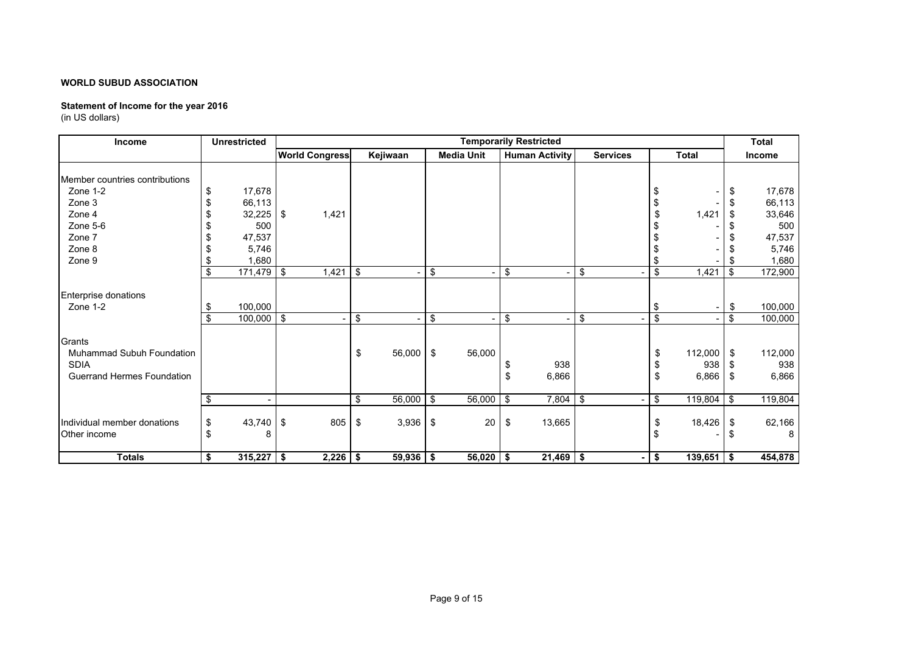### **Statement of Income for the year 2016**

| Income                                                                                                   |              | <b>Unrestricted</b>                                           |                       |                         |             |     |                   |          | <b>Temporarily Restricted</b> |                 |                                        |                         | <b>Total</b>                  |                                                               |
|----------------------------------------------------------------------------------------------------------|--------------|---------------------------------------------------------------|-----------------------|-------------------------|-------------|-----|-------------------|----------|-------------------------------|-----------------|----------------------------------------|-------------------------|-------------------------------|---------------------------------------------------------------|
|                                                                                                          |              |                                                               | <b>World Congress</b> |                         | Kejiwaan    |     | <b>Media Unit</b> |          | <b>Human Activity</b>         | <b>Services</b> |                                        | <b>Total</b>            |                               | Income                                                        |
| Member countries contributions<br>Zone 1-2<br>Zone 3<br>Zone 4<br>Zone 5-6<br>Zone 7<br>Zone 8<br>Zone 9 | S<br>S<br>S. | 17,678<br>66,113<br>32,225<br>500<br>47,537<br>5,746<br>1,680 | -\$<br>1,421          |                         |             |     |                   |          |                               |                 | -\$                                    | 1,421                   | \$<br>\$<br>\$                | 17,678<br>66,113<br>33,646<br>500<br>47,537<br>5,746<br>1,680 |
|                                                                                                          | \$           | $171,479$ \$                                                  | 1,421                 | \$                      |             | \$  |                   | \$       |                               | \$              | $\overline{\boldsymbol{\mathfrak{s}}}$ | 1,421                   | \$                            | 172,900                                                       |
| Enterprise donations<br>Zone 1-2<br>Grants                                                               | \$<br>\$     | 100,000<br>100,000                                            | $\sqrt{3}$            | $\overline{\mathbf{3}}$ |             | \$  |                   | \$       |                               | \$              | -\$<br>$\overline{\mathcal{S}}$        |                         | \$<br>$\overline{\mathbf{3}}$ | 100,000<br>100,000                                            |
| <b>Muhammad Subuh Foundation</b><br><b>SDIA</b><br><b>Guerrand Hermes Foundation</b>                     |              |                                                               |                       | \$                      | 56,000      | \$  | 56,000            | \$<br>\$ | 938<br>6,866                  |                 | \$<br>\$<br>\$                         | 112,000<br>938<br>6,866 | \$<br>\$<br>-\$               | 112,000<br>938<br>6,866                                       |
|                                                                                                          | \$           |                                                               |                       | $\sqrt[6]{3}$           | 56,000      | -\$ | 56,000            | -\$      | 7,804                         | \$              | $\boldsymbol{\mathsf{s}}$              | 119,804                 | \$                            | 119,804                                                       |
| Individual member donations<br>Other income                                                              | \$<br>\$     | 43,740<br>8                                                   | 805<br>- \$           | \$                      | 3,936       | \$  | 20                | \$       | 13,665                        |                 | \$<br>\$                               | 18,426                  | \$<br>ß.                      | 62,166<br>8                                                   |
| <b>Totals</b>                                                                                            | \$           | $315,227$ \$                                                  | 2,226                 | \$                      | $59,936$ \$ |     | 56,020            | -\$      | $21,469$ \$                   |                 | \$                                     | $139,651$ \$            |                               | 454,878                                                       |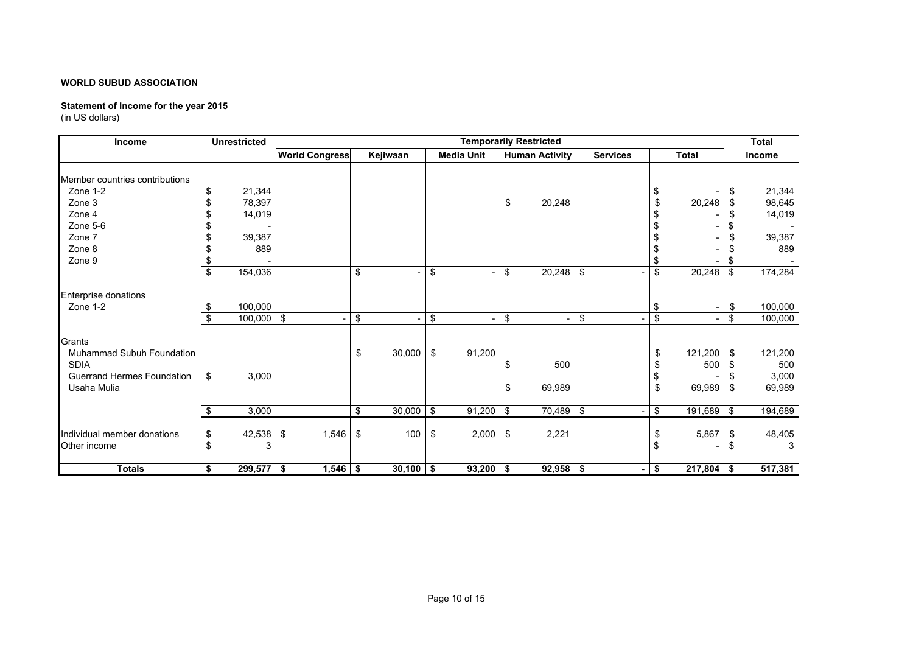### **Statement of Income for the year 2015**

| Income                                                                                         |          | <b>Unrestricted</b>                         |                       |                         |                                    |                     |                   |            | <b>Temporarily Restricted</b> |                 |                                       |               |                | <b>Total</b>                                |
|------------------------------------------------------------------------------------------------|----------|---------------------------------------------|-----------------------|-------------------------|------------------------------------|---------------------|-------------------|------------|-------------------------------|-----------------|---------------------------------------|---------------|----------------|---------------------------------------------|
|                                                                                                |          |                                             | <b>World Congress</b> |                         | Kejiwaan                           |                     | <b>Media Unit</b> |            | <b>Human Activity</b>         | <b>Services</b> |                                       | <b>Total</b>  |                | <b>Income</b>                               |
| Member countries contributions<br>Zone 1-2<br>Zone 3<br>Zone 4<br>Zone 5-6<br>Zone 7<br>Zone 8 | \$       | 21,344<br>78,397<br>14,019<br>39,387<br>889 |                       |                         |                                    |                     |                   | \$         | 20,248                        |                 | \$<br>\$                              | 20,248        | \$<br>S        | 21,344<br>98,645<br>14,019<br>39,387<br>889 |
| Zone 9                                                                                         |          |                                             |                       |                         |                                    |                     |                   |            |                               |                 | \$                                    |               |                |                                             |
|                                                                                                | \$       | 154,036                                     |                       | $\sqrt[6]{\frac{1}{2}}$ | ٠                                  | \$                  |                   | \$         | $20,248$ \$                   |                 | \$                                    | 20,248        | \$             | 174,284                                     |
| Enterprise donations<br>Zone 1-2<br>Grants<br>Muhammad Subuh Foundation                        | \$<br>£. | 100,000<br>$100,000$ \$                     |                       | \$<br>\$                | $\overline{\phantom{0}}$<br>30,000 | \$<br>$\sqrt[6]{3}$ | ٠<br>91,200       | \$         | ÷,                            | \$              | -\$<br>$\overline{\mathcal{S}}$<br>\$ | 121,200       | \$<br>\$<br>\$ | 100,000<br>100,000<br>121,200               |
| <b>SDIA</b><br><b>Guerrand Hermes Foundation</b><br>Usaha Mulia                                | \$       | 3,000                                       |                       |                         |                                    |                     |                   | \$<br>\$   | 500<br>69,989                 |                 | S<br>\$<br>\$                         | 500<br>69,989 | \$             | 500<br>3,000<br>69,989                      |
|                                                                                                | \$       | 3,000                                       |                       | \$                      | 30,000                             | \$                  | 91,200            | $\sqrt{3}$ | $70,489$ \$                   |                 | $\overline{\mathbf{3}}$               | 191,689       | <b>S</b>       | 194,689                                     |
| Individual member donations<br>Other income                                                    | \$<br>\$ | 42,538<br>3                                 | 1,546<br>- \$         | -\$                     | 100                                | \$                  | 2,000             | \$         | 2,221                         |                 | \$<br>-\$                             | 5,867         | S.             | 48,405<br>3                                 |
| <b>Totals</b>                                                                                  | \$       | $299,577$ \$                                | 1,546                 | \$                      | 30,100                             | l \$                | 93,200            | -\$        | $92,958$ \$                   |                 | \$                                    | 217,804       | -\$            | 517,381                                     |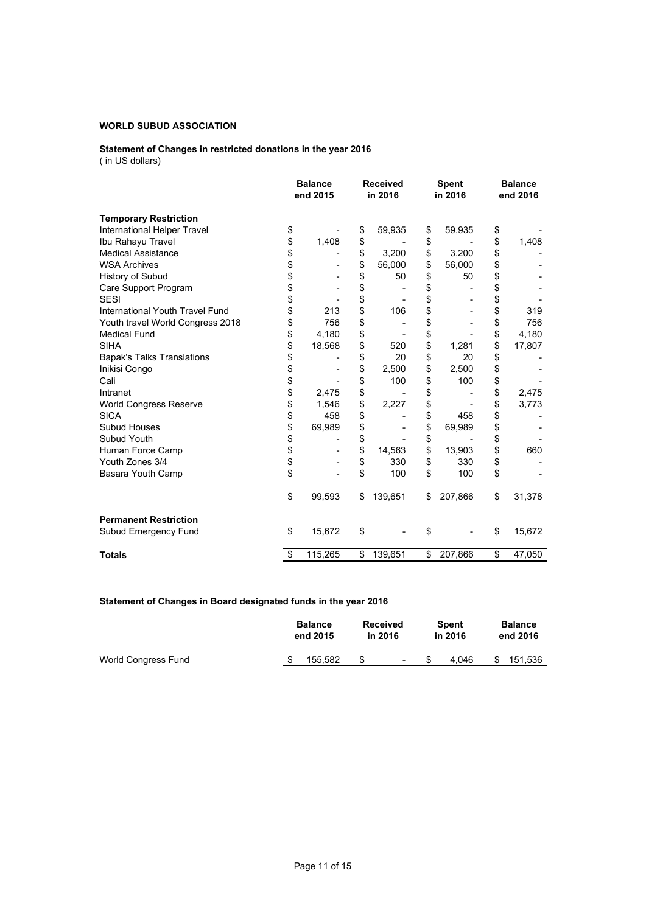#### **Statement of Changes in restricted donations in the year 2016** ( in US dollars)

|                                   |          | <b>Balance</b><br>end 2015 | <b>Received</b><br>in 2016 |    | <b>Spent</b><br>in 2016 |    | <b>Balance</b><br>end 2016 |  |
|-----------------------------------|----------|----------------------------|----------------------------|----|-------------------------|----|----------------------------|--|
| <b>Temporary Restriction</b>      |          |                            |                            |    |                         |    |                            |  |
| International Helper Travel       | \$       |                            | \$<br>59,935               | \$ | 59,935                  | \$ |                            |  |
| Ibu Rahayu Travel                 | \$       | 1,408                      | \$                         | \$ |                         | \$ | 1,408                      |  |
| <b>Medical Assistance</b>         | \$       |                            | \$<br>3,200                | \$ | 3,200                   | \$ |                            |  |
| <b>WSA Archives</b>               | \$<br>\$ |                            | \$<br>56,000               | \$ | 56,000                  | \$ |                            |  |
| History of Subud                  |          |                            | \$<br>50                   | \$ | 50                      | \$ |                            |  |
| Care Support Program              | \$<br>\$ |                            | \$                         | \$ |                         | \$ |                            |  |
| <b>SESI</b>                       |          |                            | \$                         | \$ |                         | \$ |                            |  |
| International Youth Travel Fund   | \$       | 213                        | \$<br>106                  | \$ |                         | \$ | 319                        |  |
| Youth travel World Congress 2018  | \$       | 756                        | \$                         | \$ |                         | \$ | 756                        |  |
| <b>Medical Fund</b>               | \$       | 4,180                      | \$                         | \$ |                         | \$ | 4,180                      |  |
| <b>SIHA</b>                       | \$       | 18,568                     | \$<br>520                  | \$ | 1,281                   | \$ | 17,807                     |  |
| <b>Bapak's Talks Translations</b> | \$       |                            | \$<br>20                   | \$ | 20                      | \$ |                            |  |
| Inikisi Congo                     | \$       |                            | \$<br>2,500                | \$ | 2,500                   | \$ |                            |  |
| Cali                              | \$       |                            | \$<br>100                  | \$ | 100                     | \$ |                            |  |
| Intranet                          | \$       | 2,475                      | \$                         | \$ |                         | \$ | 2,475                      |  |
| <b>World Congress Reserve</b>     | \$       | 1,546                      | \$<br>2,227                | \$ |                         | \$ | 3,773                      |  |
| <b>SICA</b>                       | \$       | 458                        | \$                         | \$ | 458                     | \$ |                            |  |
| Subud Houses                      | \$       | 69,989                     | \$                         | \$ | 69,989                  | \$ |                            |  |
| Subud Youth                       | \$       |                            | \$                         | \$ |                         | \$ |                            |  |
| Human Force Camp                  | \$       |                            | \$<br>14,563               | \$ | 13,903                  | \$ | 660                        |  |
| Youth Zones 3/4                   | \$       |                            | \$<br>330                  | \$ | 330                     | \$ |                            |  |
| Basara Youth Camp                 | \$       |                            | \$<br>100                  | \$ | 100                     | \$ |                            |  |
|                                   | \$       | 99,593                     | \$<br>139,651              | \$ | 207,866                 | \$ | 31,378                     |  |
| <b>Permanent Restriction</b>      |          |                            |                            |    |                         |    |                            |  |
| Subud Emergency Fund              | \$       | 15,672                     | \$                         | \$ |                         | \$ | 15,672                     |  |
| <b>Totals</b>                     | \$       | 115,265                    | \$<br>139,651              | \$ | 207,866                 | \$ | 47,050                     |  |

### **Statement of Changes in Board designated funds in the year 2016**

|                     | <b>Balance</b><br>end 2015 | <b>Received</b><br>in 2016 |        | <b>Spent</b><br>in 2016 |   | <b>Balance</b><br>end 2016 |  |
|---------------------|----------------------------|----------------------------|--------|-------------------------|---|----------------------------|--|
| World Congress Fund | 155.582                    |                            | $\sim$ | 4.046                   | S | 151.536                    |  |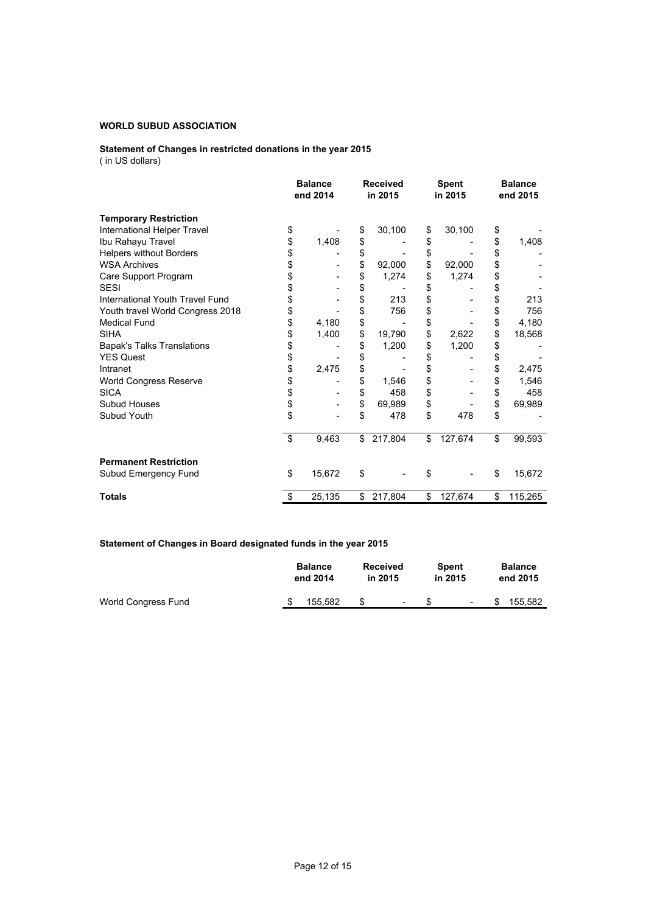#### **Statement of Changes in restricted donations in the year 2015** ( in US dollars)

|                                   | <b>Balance</b><br>end 2014 | <b>Received</b><br>in 2015 | <b>Spent</b><br>in 2015 | <b>Balance</b><br>end 2015 |
|-----------------------------------|----------------------------|----------------------------|-------------------------|----------------------------|
| <b>Temporary Restriction</b>      |                            |                            |                         |                            |
| International Helper Travel       | \$                         | \$<br>30,100               | \$<br>30,100            | \$                         |
| Ibu Rahayu Travel                 | \$<br>1,408                | \$                         | \$                      | \$<br>1,408                |
| <b>Helpers without Borders</b>    | \$                         | \$                         | \$                      | \$                         |
| <b>WSA Archives</b>               | \$                         | \$<br>92,000               | \$<br>92,000            | \$                         |
| Care Support Program              | \$                         | \$<br>1,274                | \$<br>1,274             | \$                         |
| <b>SESI</b>                       | \$                         | \$                         | \$                      | \$                         |
| International Youth Travel Fund   | \$                         | \$<br>213                  | \$                      | \$<br>213                  |
| Youth travel World Congress 2018  | \$                         | \$<br>756                  | \$                      | \$<br>756                  |
| <b>Medical Fund</b>               | \$<br>4,180                | \$                         | \$                      | \$<br>4,180                |
| <b>SIHA</b>                       | \$<br>1,400                | \$<br>19,790               | \$<br>2,622             | \$<br>18,568               |
| <b>Bapak's Talks Translations</b> | \$                         | \$<br>1,200                | \$<br>1,200             | \$                         |
| <b>YES Quest</b>                  | \$                         | \$                         | \$                      | \$                         |
| Intranet                          | \$<br>2,475                | \$                         | \$                      | \$<br>2,475                |
| World Congress Reserve            | \$                         | \$<br>1,546                | \$                      | \$<br>1,546                |
| <b>SICA</b>                       | \$                         | \$<br>458                  | \$                      | \$<br>458                  |
| Subud Houses                      | \$                         | \$<br>69,989               | \$                      | \$<br>69,989               |
| Subud Youth                       | \$                         | \$<br>478                  | \$<br>478               | \$                         |
|                                   | \$<br>9,463                | \$<br>217,804              | \$<br>127,674           | \$<br>99,593               |
| <b>Permanent Restriction</b>      |                            |                            |                         |                            |
| Subud Emergency Fund              | \$<br>15,672               | \$                         | \$                      | \$<br>15,672               |
| <b>Totals</b>                     | \$<br>25,135               | \$<br>217,804              | \$<br>127,674           | \$<br>115,265              |

### **Statement of Changes in Board designated funds in the year 2015**

|                     |  | <b>Balance</b> | <b>Received</b> |        | <b>Spent</b> |        | <b>Balance</b> |         |
|---------------------|--|----------------|-----------------|--------|--------------|--------|----------------|---------|
|                     |  | end 2014       | in 2015         |        | in 2015      |        | end 2015       |         |
| World Congress Fund |  | 155.582        |                 | $\sim$ |              | $\sim$ | S              | 155.582 |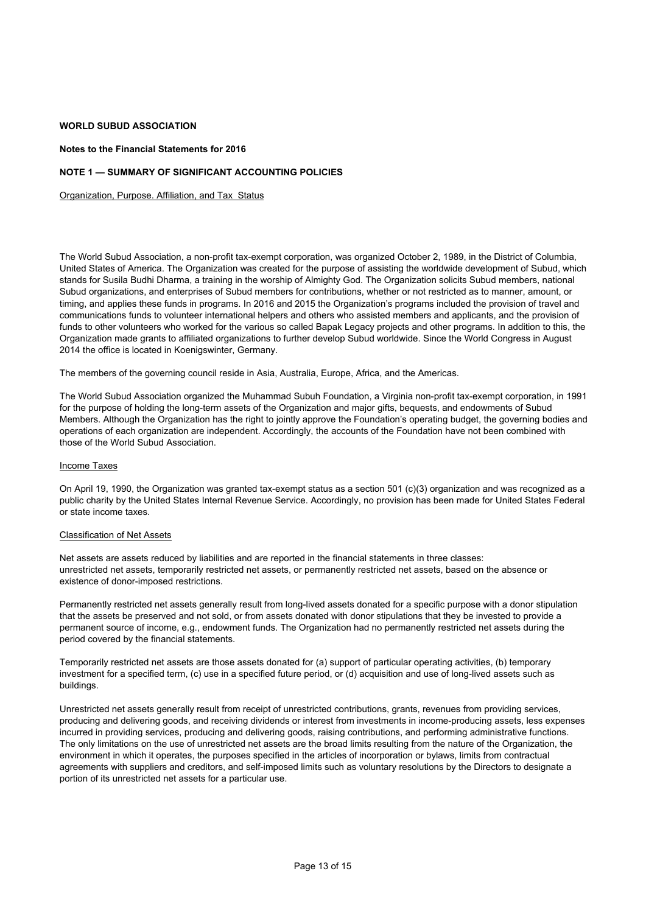#### **Notes to the Financial Statements for 2016**

#### **NOTE 1 — SUMMARY OF SIGNIFICANT ACCOUNTING POLICIES**

Organization, Purpose. Affiliation, and Tax Status

The World Subud Association, a non-profit tax-exempt corporation, was organized October 2, 1989, in the District of Columbia, United States of America. The Organization was created for the purpose of assisting the worldwide development of Subud, which stands for Susila Budhi Dharma, a training in the worship of Almighty God. The Organization solicits Subud members, national Subud organizations, and enterprises of Subud members for contributions, whether or not restricted as to manner, amount, or timing, and applies these funds in programs. In 2016 and 2015 the Organization's programs included the provision of travel and communications funds to volunteer international helpers and others who assisted members and applicants, and the provision of funds to other volunteers who worked for the various so called Bapak Legacy projects and other programs. In addition to this, the Organization made grants to affiliated organizations to further develop Subud worldwide. Since the World Congress in August 2014 the office is located in Koenigswinter, Germany.

The members of the governing council reside in Asia, Australia, Europe, Africa, and the Americas.

The World Subud Association organized the Muhammad Subuh Foundation, a Virginia non-profit tax-exempt corporation, in 1991 for the purpose of holding the long-term assets of the Organization and major gifts, bequests, and endowments of Subud Members. Although the Organization has the right to jointly approve the Foundation's operating budget, the governing bodies and operations of each organization are independent. Accordingly, the accounts of the Foundation have not been combined with those of the World Subud Association.

#### Income Taxes

On April 19, 1990, the Organization was granted tax-exempt status as a section 501 (c)(3) organization and was recognized as a public charity by the United States Internal Revenue Service. Accordingly, no provision has been made for United States Federal or state income taxes.

#### Classification of Net Assets

Net assets are assets reduced by liabilities and are reported in the financial statements in three classes: unrestricted net assets, temporarily restricted net assets, or permanently restricted net assets, based on the absence or existence of donor-imposed restrictions.

Permanently restricted net assets generally result from long-lived assets donated for a specific purpose with a donor stipulation that the assets be preserved and not sold, or from assets donated with donor stipulations that they be invested to provide a permanent source of income, e.g., endowment funds. The Organization had no permanently restricted net assets during the period covered by the financial statements.

Temporarily restricted net assets are those assets donated for (a) support of particular operating activities, (b) temporary investment for a specified term, (c) use in a specified future period, or (d) acquisition and use of long-lived assets such as buildings.

Unrestricted net assets generally result from receipt of unrestricted contributions, grants, revenues from providing services, producing and delivering goods, and receiving dividends or interest from investments in income-producing assets, less expenses incurred in providing services, producing and delivering goods, raising contributions, and performing administrative functions. The only limitations on the use of unrestricted net assets are the broad limits resulting from the nature of the Organization, the environment in which it operates, the purposes specified in the articles of incorporation or bylaws, limits from contractual agreements with suppliers and creditors, and self-imposed limits such as voluntary resolutions by the Directors to designate a portion of its unrestricted net assets for a particular use.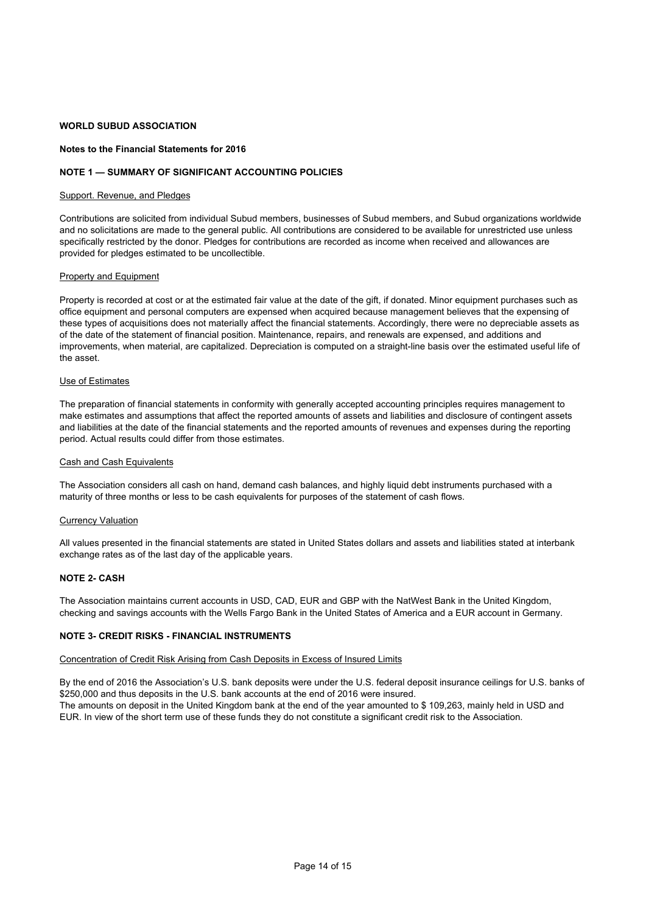#### **Notes to the Financial Statements for 2016**

#### **NOTE 1 — SUMMARY OF SIGNIFICANT ACCOUNTING POLICIES**

#### Support. Revenue, and Pledges

Contributions are solicited from individual Subud members, businesses of Subud members, and Subud organizations worldwide and no solicitations are made to the general public. All contributions are considered to be available for unrestricted use unless specifically restricted by the donor. Pledges for contributions are recorded as income when received and allowances are provided for pledges estimated to be uncollectible.

#### **Property and Equipment**

Property is recorded at cost or at the estimated fair value at the date of the gift, if donated. Minor equipment purchases such as office equipment and personal computers are expensed when acquired because management believes that the expensing of these types of acquisitions does not materially affect the financial statements. Accordingly, there were no depreciable assets as of the date of the statement of financial position. Maintenance, repairs, and renewals are expensed, and additions and improvements, when material, are capitalized. Depreciation is computed on a straight-line basis over the estimated useful life of the asset.

#### Use of Estimates

The preparation of financial statements in conformity with generally accepted accounting principles requires management to make estimates and assumptions that affect the reported amounts of assets and liabilities and disclosure of contingent assets and liabilities at the date of the financial statements and the reported amounts of revenues and expenses during the reporting period. Actual results could differ from those estimates.

#### Cash and Cash Equivalents

The Association considers all cash on hand, demand cash balances, and highly liquid debt instruments purchased with a maturity of three months or less to be cash equivalents for purposes of the statement of cash flows.

#### Currency Valuation

All values presented in the financial statements are stated in United States dollars and assets and liabilities stated at interbank exchange rates as of the last day of the applicable years.

#### **NOTE 2- CASH**

The Association maintains current accounts in USD, CAD, EUR and GBP with the NatWest Bank in the United Kingdom, checking and savings accounts with the Wells Fargo Bank in the United States of America and a EUR account in Germany.

#### **NOTE 3- CREDIT RISKS - FINANCIAL INSTRUMENTS**

#### Concentration of Credit Risk Arising from Cash Deposits in Excess of Insured Limits

By the end of 2016 the Association's U.S. bank deposits were under the U.S. federal deposit insurance ceilings for U.S. banks of \$250,000 and thus deposits in the U.S. bank accounts at the end of 2016 were insured.

The amounts on deposit in the United Kingdom bank at the end of the year amounted to \$ 109,263, mainly held in USD and EUR. In view of the short term use of these funds they do not constitute a significant credit risk to the Association.